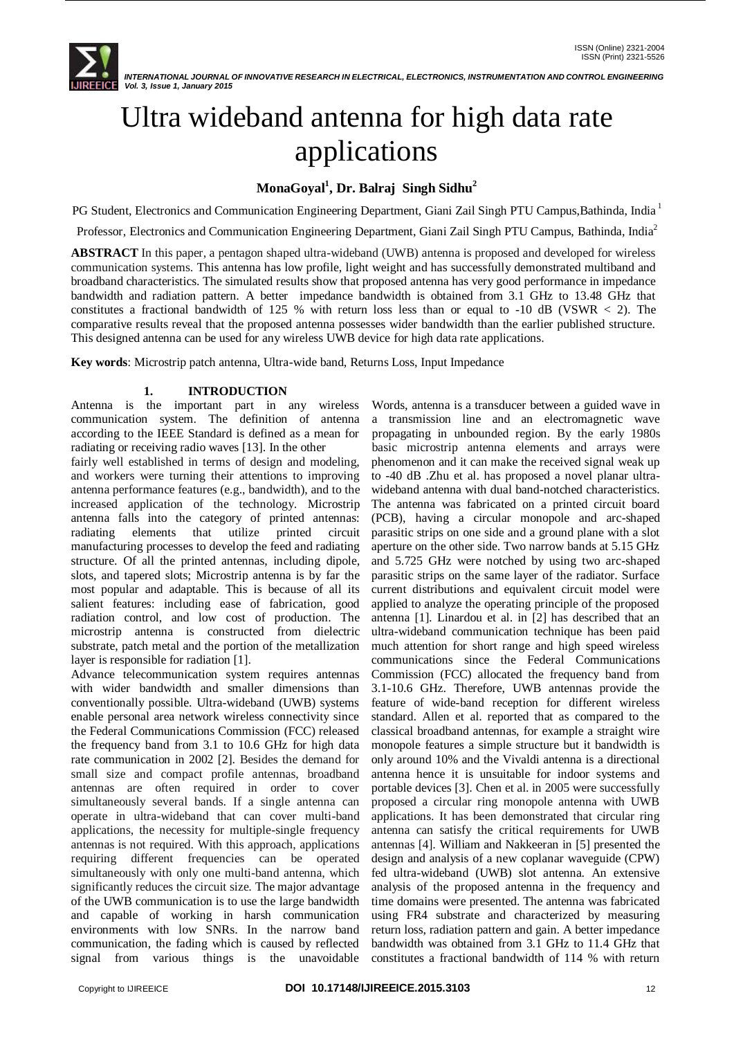

# Ultra wideband antenna for high data rate applications

# **MonaGoyal<sup>1</sup> , Dr. Balraj Singh Sidhu<sup>2</sup>**

PG Student, Electronics and Communication Engineering Department, Giani Zail Singh PTU Campus,Bathinda, India <sup>1</sup>

Professor, Electronics and Communication Engineering Department, Giani Zail Singh PTU Campus, Bathinda, India<sup>2</sup>

**ABSTRACT** In this paper, a pentagon shaped ultra-wideband (UWB) antenna is proposed and developed for wireless communication systems. This antenna has low profile, light weight and has successfully demonstrated multiband and broadband characteristics. The simulated results show that proposed antenna has very good performance in impedance bandwidth and radiation pattern. A better impedance bandwidth is obtained from 3.1 GHz to 13.48 GHz that constitutes a fractional bandwidth of 125 % with return loss less than or equal to -10 dB (VSWR < 2). The comparative results reveal that the proposed antenna possesses wider bandwidth than the earlier published structure. This designed antenna can be used for any wireless UWB device for high data rate applications.

**Key words**: Microstrip patch antenna, Ultra-wide band, Returns Loss, Input Impedance

## **1. INTRODUCTION**

Antenna is the important part in any wireless communication system. The definition of antenna according to the IEEE Standard is defined as a mean for radiating or receiving radio waves [13]. In the other

fairly well established in terms of design and modeling, and workers were turning their attentions to improving antenna performance features (e.g., bandwidth), and to the increased application of the technology. Microstrip antenna falls into the category of printed antennas: radiating elements that utilize printed circuit manufacturing processes to develop the feed and radiating structure. Of all the printed antennas, including dipole, slots, and tapered slots; Microstrip antenna is by far the most popular and adaptable. This is because of all its salient features: including ease of fabrication, good radiation control, and low cost of production. The microstrip antenna is constructed from dielectric substrate, patch metal and the portion of the metallization layer is responsible for radiation [1].

Advance telecommunication system requires antennas with wider bandwidth and smaller dimensions than conventionally possible. Ultra-wideband (UWB) systems enable personal area network wireless connectivity since the Federal Communications Commission (FCC) released the frequency band from 3.1 to 10.6 GHz for high data rate communication in 2002 [2]. Besides the demand for small size and compact profile antennas, broadband antennas are often required in order to cover simultaneously several bands. If a single antenna can operate in ultra-wideband that can cover multi-band applications, the necessity for multiple-single frequency antennas is not required. With this approach, applications requiring different frequencies can be operated simultaneously with only one multi-band antenna, which significantly reduces the circuit size. The major advantage of the UWB communication is to use the large bandwidth and capable of working in harsh communication environments with low SNRs. In the narrow band communication, the fading which is caused by reflected signal from various things is the unavoidable

Words, antenna is a transducer between a guided wave in a transmission line and an electromagnetic wave propagating in unbounded region. By the early 1980s basic microstrip antenna elements and arrays were phenomenon and it can make the received signal weak up to -40 dB .Zhu et al. has proposed a novel planar ultrawideband antenna with dual band-notched characteristics. The antenna was fabricated on a printed circuit board (PCB), having a circular monopole and arc-shaped parasitic strips on one side and a ground plane with a slot aperture on the other side. Two narrow bands at 5.15 GHz and 5.725 GHz were notched by using two arc-shaped parasitic strips on the same layer of the radiator. Surface current distributions and equivalent circuit model were applied to analyze the operating principle of the proposed antenna [1]. Linardou et al. in [2] has described that an ultra-wideband communication technique has been paid much attention for short range and high speed wireless communications since the Federal Communications Commission (FCC) allocated the frequency band from 3.1-10.6 GHz. Therefore, UWB antennas provide the feature of wide-band reception for different wireless standard. Allen et al. reported that as compared to the classical broadband antennas, for example a straight wire monopole features a simple structure but it bandwidth is only around 10% and the Vivaldi antenna is a directional antenna hence it is unsuitable for indoor systems and portable devices [3]. Chen et al. in 2005 were successfully proposed a circular ring monopole antenna with UWB applications. It has been demonstrated that circular ring antenna can satisfy the critical requirements for UWB antennas [4]. William and Nakkeeran in [5] presented the design and analysis of a new coplanar waveguide (CPW) fed ultra-wideband (UWB) slot antenna. An extensive analysis of the proposed antenna in the frequency and time domains were presented. The antenna was fabricated using FR4 substrate and characterized by measuring return loss, radiation pattern and gain. A better impedance bandwidth was obtained from 3.1 GHz to 11.4 GHz that constitutes a fractional bandwidth of 114 % with return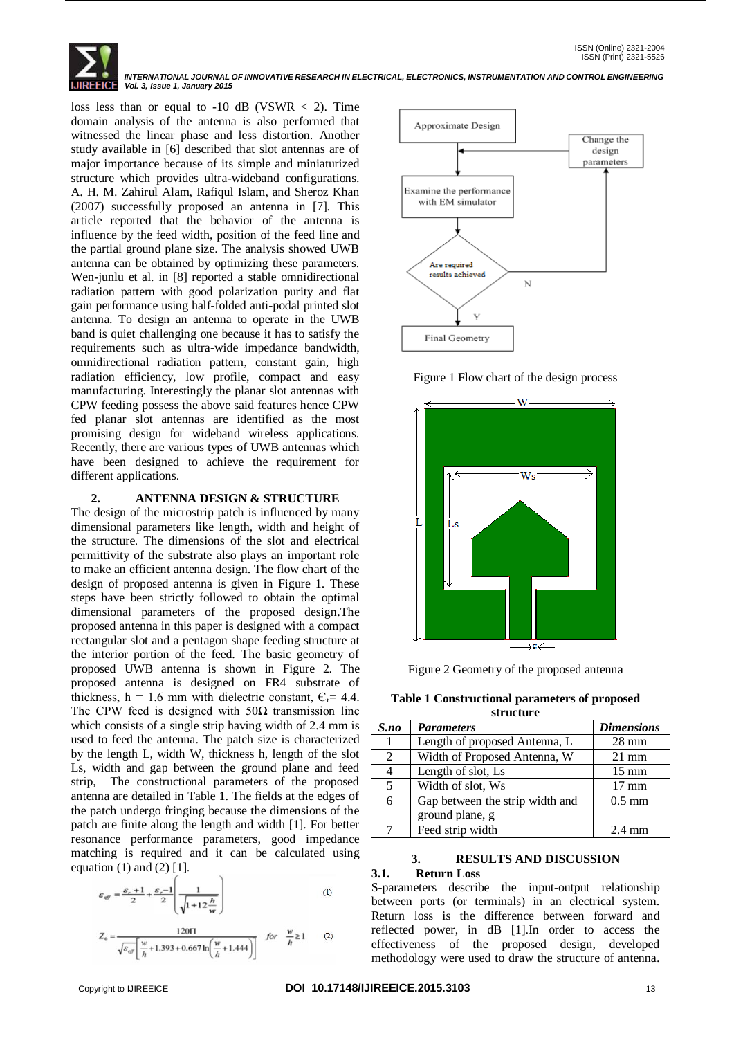

loss less than or equal to  $-10$  dB (VSWR  $<$  2). Time domain analysis of the antenna is also performed that witnessed the linear phase and less distortion. Another study available in [6] described that slot antennas are of major importance because of its simple and miniaturized structure which provides ultra-wideband configurations. A. H. M. Zahirul Alam, Rafiqul Islam, and Sheroz Khan (2007) successfully proposed an antenna in [7]. This article reported that the behavior of the antenna is influence by the feed width, position of the feed line and the partial ground plane size. The analysis showed UWB antenna can be obtained by optimizing these parameters. Wen-junlu et al. in [8] reported a stable omnidirectional radiation pattern with good polarization purity and flat gain performance using half-folded anti-podal printed slot antenna. To design an antenna to operate in the UWB band is quiet challenging one because it has to satisfy the requirements such as ultra-wide impedance bandwidth, omnidirectional radiation pattern, constant gain, high radiation efficiency, low profile, compact and easy manufacturing. Interestingly the planar slot antennas with CPW feeding possess the above said features hence CPW fed planar slot antennas are identified as the most promising design for wideband wireless applications. Recently, there are various types of UWB antennas which have been designed to achieve the requirement for different applications.

#### **2. ANTENNA DESIGN & STRUCTURE**

The design of the microstrip patch is influenced by many dimensional parameters like length, width and height of the structure. The dimensions of the slot and electrical permittivity of the substrate also plays an important role to make an efficient antenna design. The flow chart of the design of proposed antenna is given in Figure 1. These steps have been strictly followed to obtain the optimal dimensional parameters of the proposed design.The proposed antenna in this paper is designed with a compact rectangular slot and a pentagon shape feeding structure at the interior portion of the feed. The basic geometry of proposed UWB antenna is shown in Figure 2. The proposed antenna is designed on FR4 substrate of thickness,  $h = 1.6$  mm with dielectric constant,  $C_r = 4.4$ . The CPW feed is designed with  $50\Omega$  transmission line which consists of a single strip having width of 2.4 mm is used to feed the antenna. The patch size is characterized by the length L, width W, thickness h, length of the slot Ls, width and gap between the ground plane and feed strip, The constructional parameters of the proposed antenna are detailed in Table 1. The fields at the edges of the patch undergo fringing because the dimensions of the patch are finite along the length and width [1]. For better resonance performance parameters, good impedance matching is required and it can be calculated using equation  $(1)$  and  $(2)$   $[1]$ .

$$
\varepsilon_{\text{eff}} = \frac{\varepsilon_r + 1}{2} + \frac{\varepsilon_r - 1}{2} \left( \frac{1}{\sqrt{1 + 12 \frac{h}{w}}} \right) \tag{1}
$$

$$
Z_0 = \frac{120 \Pi}{\sqrt{\varepsilon_{eff}} \left[ \frac{w}{h} + 1.393 + 0.667 \ln \left( \frac{w}{h} + 1.444 \right) \right]} \quad \text{for} \quad \frac{w}{h} \ge 1 \tag{2}
$$



Figure 1 Flow chart of the design process



Figure 2 Geometry of the proposed antenna

**Table 1 Constructional parameters of proposed** 

| structure |                                 |                   |  |
|-----------|---------------------------------|-------------------|--|
| S.no      | <b>Parameters</b>               | <b>Dimensions</b> |  |
|           | Length of proposed Antenna, L   | $28 \text{ mm}$   |  |
| 2         | Width of Proposed Antenna, W    | $21 \text{ mm}$   |  |
| 4         | Length of slot, Ls              | $15 \text{ mm}$   |  |
| 5         | Width of slot, Ws               | $17 \text{ mm}$   |  |
| 6         | Gap between the strip width and | $0.5$ mm          |  |
|           | ground plane, g                 |                   |  |
|           | Feed strip width                | $2.4 \text{ mm}$  |  |

#### **3. RESULTS AND DISCUSSION 3.1. Return Loss**

S-parameters describe the input-output relationship between ports (or terminals) in an electrical system. Return loss is the difference between forward and reflected power, in dB [1].In order to access the effectiveness of the proposed design, developed methodology were used to draw the structure of antenna.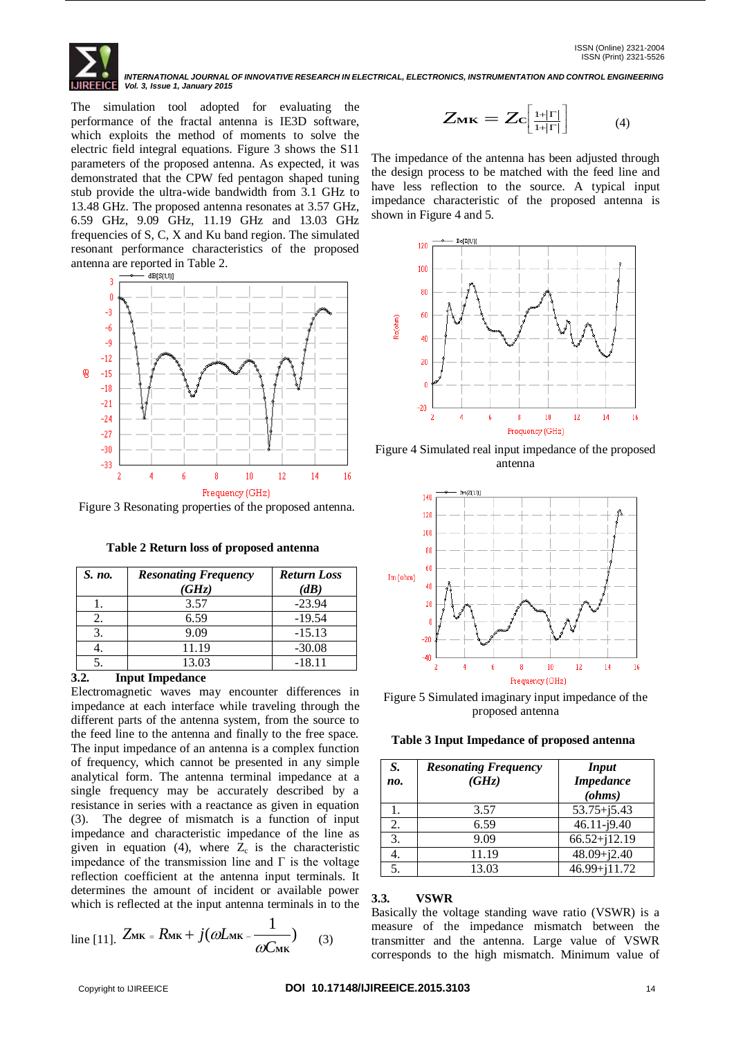The simulation tool adopted for evaluating the performance of the fractal antenna is IE3D software, which exploits the method of moments to solve the electric field integral equations. Figure 3 shows the S11 parameters of the proposed antenna. As expected, it was demonstrated that the CPW fed pentagon shaped tuning stub provide the ultra-wide bandwidth from 3.1 GHz to 13.48 GHz. The proposed antenna resonates at 3.57 GHz, 6.59 GHz, 9.09 GHz, 11.19 GHz and 13.03 GHz frequencies of S, C, X and Ku band region. The simulated resonant performance characteristics of the proposed antenna are reported in Table 2.



Figure 3 Resonating properties of the proposed antenna.

| S. no. | <b>Resonating Frequency</b><br>(GHz) | <b>Return Loss</b><br>$(d\mathbf{B})$ |
|--------|--------------------------------------|---------------------------------------|
|        | 3.57                                 | $-23.94$                              |
| 2.     | 6.59                                 | $-19.54$                              |
| 3.     | 9.09                                 | $-15.13$                              |
|        | 11.19                                | $-30.08$                              |
|        | 13.03                                | $-18.11$                              |

**3.2. Input Impedance**

Electromagnetic waves may encounter differences in impedance at each interface while traveling through the different parts of the antenna system, from the source to the feed line to the antenna and finally to the free space. The input impedance of an antenna is a complex function of frequency, which cannot be presented in any simple analytical form. The antenna terminal impedance at a single frequency may be accurately described by a resistance in series with a reactance as given in equation (3). The degree of mismatch is a function of input impedance and characteristic impedance of the line as given in equation (4), where  $Z_c$  is the characteristic impedance of the transmission line and  $\Gamma$  is the voltage reflection coefficient at the antenna input terminals. It determines the amount of incident or available power which is reflected at the input antenna terminals in to the

line [11]. 
$$
Z_{MK} = R_{MK} + j(\omega L_{MK} - \frac{1}{\omega C_{MK}})
$$
 (3)

$$
Z_{\mathbf{MK}} = Zc \left[ \frac{1+|\Gamma|}{1+|\Gamma|} \right] \qquad (4)
$$

The impedance of the antenna has been adjusted through the design process to be matched with the feed line and have less reflection to the source. A typical input impedance characteristic of the proposed antenna is shown in Figure 4 and 5.



Figure 4 Simulated real input impedance of the proposed antenna



Figure 5 Simulated imaginary input impedance of the proposed antenna

|  |  |  | Table 3 Input Impedance of proposed antenna |  |  |  |
|--|--|--|---------------------------------------------|--|--|--|
|--|--|--|---------------------------------------------|--|--|--|

| S.<br>no. | <b>Resonating Frequency</b><br>(GHz) | <i>Input</i><br><b>Impedance</b><br>(ohms) |
|-----------|--------------------------------------|--------------------------------------------|
|           | 3.57                                 | $53.75 + j5.43$                            |
| 2.        | 6.59                                 | $46.11 - j9.40$                            |
| 3.        | 9.09                                 | $66.52 + j12.19$                           |
| 4.        | 11.19                                | $48.09 + j2.40$                            |
| 5.        | 13.03                                | 46.99+j11.72                               |

#### **3.3. VSWR**

Basically the voltage standing wave ratio (VSWR) is a measure of the impedance mismatch between the transmitter and the antenna. Large value of VSWR corresponds to the high mismatch. Minimum value of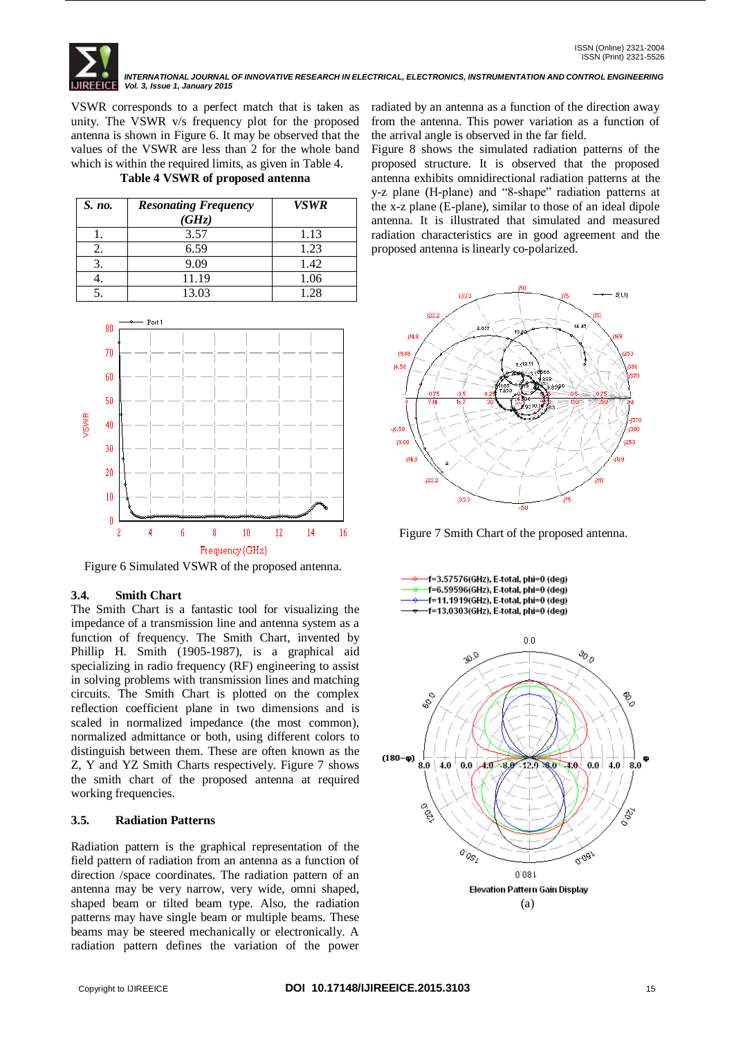VSWR corresponds to a perfect match that is taken as unity. The VSWR v/s frequency plot for the proposed antenna is shown in Figure 6. It may be observed that the values of the VSWR are less than 2 for the whole band which is within the required limits, as given in Table 4.

**Table 4 VSWR of proposed antenna**

| S. no. | <b>Resonating Frequency</b><br>(GHz) | <b>VSWR</b> |
|--------|--------------------------------------|-------------|
|        | 3.57                                 | 1.13        |
| Ζ.     | 6.59                                 | 1.23        |
|        | 9.09                                 | 1.42        |
| ÷.     | 11.19                                | 1.06        |
|        | 13.03                                | 1.28        |



Figure 6 Simulated VSWR of the proposed antenna.

## **3.4. Smith Chart**

The Smith Chart is a fantastic tool for visualizing the impedance of a transmission line and antenna system as a function of frequency. The Smith Chart, invented by Phillip H. Smith (1905-1987), is a graphical aid specializing in radio frequency (RF) engineering to assist in solving problems with transmission lines and matching circuits. The Smith Chart is plotted on the complex reflection coefficient plane in two dimensions and is scaled in normalized impedance (the most common), normalized admittance or both, using different colors to distinguish between them. These are often known as the Z, Y and YZ Smith Charts respectively. Figure 7 shows the smith chart of the proposed antenna at required working frequencies.

## **3.5. Radiation Patterns**

Radiation pattern is the graphical representation of the field pattern of radiation from an antenna as a function of direction /space coordinates. The radiation pattern of an antenna may be very narrow, very wide, omni shaped, shaped beam or tilted beam type. Also, the radiation patterns may have single beam or multiple beams. These beams may be steered mechanically or electronically. A radiation pattern defines the variation of the power

radiated by an antenna as a function of the direction away from the antenna. This power variation as a function of the arrival angle is observed in the far field.

Figure 8 shows the simulated radiation patterns of the proposed structure. It is observed that the proposed antenna exhibits omnidirectional radiation patterns at the y-z plane (H-plane) and "8-shape" radiation patterns at the x-z plane (E-plane), similar to those of an ideal dipole antenna. It is illustrated that simulated and measured radiation characteristics are in good agreement and the proposed antenna is linearly co-polarized.



Figure 7 Smith Chart of the proposed antenna.

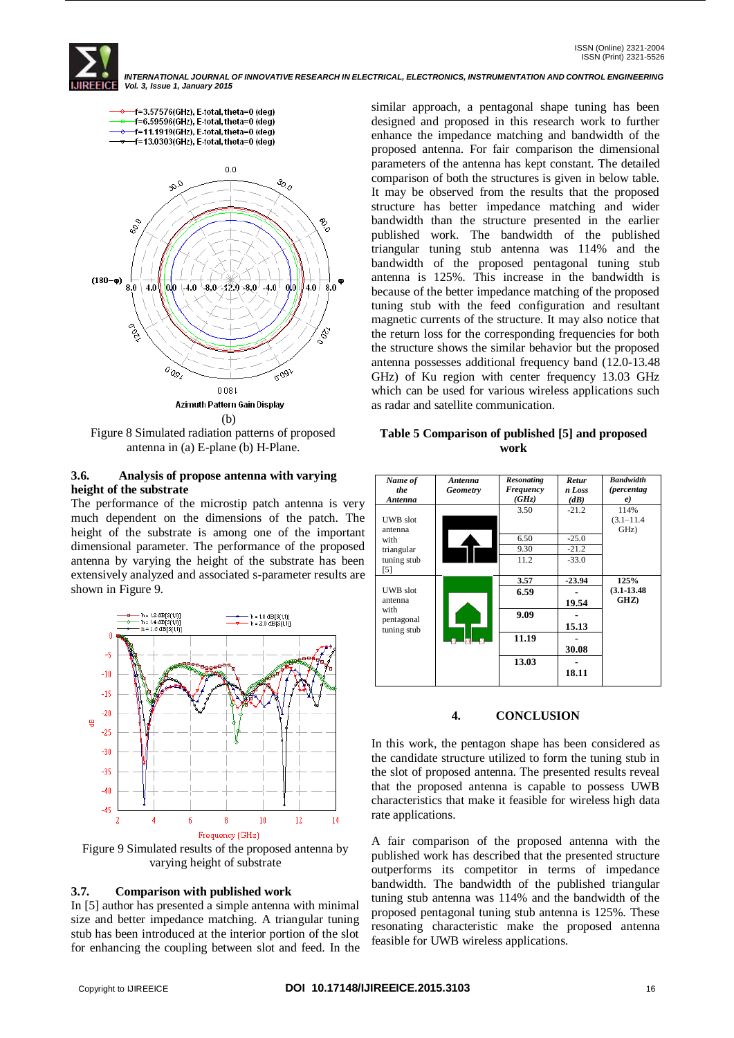f=3.57576(GHz), E-total, theta=0 (deg) f=6.59596(GHz), E-total, theta=0 (deg) f=11.1919(GHz), E-total, theta=0 (deg) -f=13.0303(GHz), E-total, theta=0 (deg)



Figure 8 Simulated radiation patterns of proposed antenna in (a) E-plane (b) H-Plane.

#### **3.6. Analysis of propose antenna with varying height of the substrate**

The performance of the microstip patch antenna is very much dependent on the dimensions of the patch. The height of the substrate is among one of the important dimensional parameter. The performance of the proposed antenna by varying the height of the substrate has been extensively analyzed and associated s-parameter results are shown in Figure 9.



Figure 9 Simulated results of the proposed antenna by varying height of substrate

## **3.7. Comparison with published work**

In [5] author has presented a simple antenna with minimal size and better impedance matching. A triangular tuning stub has been introduced at the interior portion of the slot for enhancing the coupling between slot and feed. In the similar approach, a pentagonal shape tuning has been designed and proposed in this research work to further enhance the impedance matching and bandwidth of the proposed antenna. For fair comparison the dimensional parameters of the antenna has kept constant. The detailed comparison of both the structures is given in below table. It may be observed from the results that the proposed structure has better impedance matching and wider bandwidth than the structure presented in the earlier published work. The bandwidth of the published triangular tuning stub antenna was 114% and the bandwidth of the proposed pentagonal tuning stub antenna is 125%. This increase in the bandwidth is because of the better impedance matching of the proposed tuning stub with the feed configuration and resultant magnetic currents of the structure. It may also notice that the return loss for the corresponding frequencies for both the structure shows the similar behavior but the proposed antenna possesses additional frequency band (12.0-13.48 GHz) of Ku region with center frequency 13.03 GHz which can be used for various wireless applications such as radar and satellite communication.

#### **Table 5 Comparison of published [5] and proposed work**

| Name of<br>the<br>Antenna                      | Antenna<br><b>Geometry</b> | Resonating<br>Frequency<br>(GHz) | Retur<br>n Loss<br>(dB) | <b>Bandwidth</b><br><i>(percentag)</i><br>e) |
|------------------------------------------------|----------------------------|----------------------------------|-------------------------|----------------------------------------------|
| <b>UWB</b> slot<br>antenna                     |                            | 3.50                             | $-21.2$                 | 114%<br>$(3.1 - 11.4)$<br>GHz)               |
| with                                           |                            | 6.50                             | $-25.0$                 |                                              |
| triangular<br>tuning stub<br>$\lceil 5 \rceil$ |                            | 9.30<br>11.2                     | $-21.2$<br>$-33.0$      |                                              |
|                                                |                            | 3.57                             | $-23.94$                | 125%                                         |
| <b>UWB</b> slot<br>antenna                     |                            | 6.59                             | 19.54                   | $(3.1 - 13.48)$<br>GHZ)                      |
| with<br>pentagonal<br>tuning stub              |                            | 9.09                             | 15.13                   |                                              |
|                                                |                            | 11.19                            | 30.08                   |                                              |
|                                                |                            | 13.03                            | 18.11                   |                                              |

## **4. CONCLUSION**

In this work, the pentagon shape has been considered as the candidate structure utilized to form the tuning stub in the slot of proposed antenna. The presented results reveal that the proposed antenna is capable to possess UWB characteristics that make it feasible for wireless high data rate applications.

A fair comparison of the proposed antenna with the published work has described that the presented structure outperforms its competitor in terms of impedance bandwidth. The bandwidth of the published triangular tuning stub antenna was 114% and the bandwidth of the proposed pentagonal tuning stub antenna is 125%. These resonating characteristic make the proposed antenna feasible for UWB wireless applications.